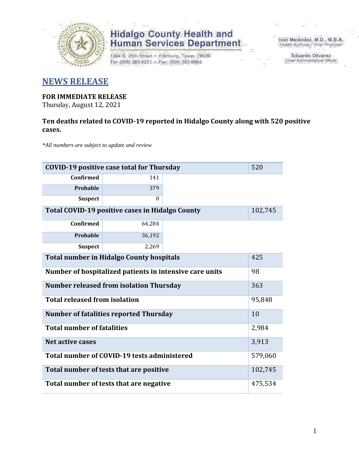

1304 S. 25th Street · Edinburg, Texas 78539 Tel: (956) 383-6221 · Fax: (956) 383-8864

Iván Meléndez, M.D., M.B.A. Health Authority / Chief Physician

> **Eduardo Olivarez Chief Administrative Officer**

#### **NEWS RELEASE**

#### **FOR IMMEDIATE RELEASE**

Thursday, August 12, 2021

#### **Ten deaths related to COVID-19 reported in Hidalgo County along with 520 positive cases.**

*\*All numbers are subject to update and review*

| <b>COVID-19 positive case total for Thursday</b><br>520       |                                                    |  |         |  |  |  |  |
|---------------------------------------------------------------|----------------------------------------------------|--|---------|--|--|--|--|
| <b>Confirmed</b>                                              | 141                                                |  |         |  |  |  |  |
| Probable                                                      | 379                                                |  |         |  |  |  |  |
| <b>Suspect</b>                                                | $\Omega$                                           |  |         |  |  |  |  |
| Total COVID-19 positive cases in Hidalgo County               | 102,745                                            |  |         |  |  |  |  |
| <b>Confirmed</b>                                              | 64,284                                             |  |         |  |  |  |  |
| Probable                                                      | 36,192                                             |  |         |  |  |  |  |
| <b>Suspect</b>                                                | 2,269                                              |  |         |  |  |  |  |
| <b>Total number in Hidalgo County hospitals</b>               |                                                    |  |         |  |  |  |  |
| Number of hospitalized patients in intensive care units<br>98 |                                                    |  |         |  |  |  |  |
|                                                               | <b>Number released from isolation Thursday</b>     |  | 363     |  |  |  |  |
| <b>Total released from isolation</b>                          |                                                    |  | 95,848  |  |  |  |  |
|                                                               | <b>Number of fatalities reported Thursday</b>      |  | 10      |  |  |  |  |
| <b>Total number of fatalities</b>                             |                                                    |  | 2,984   |  |  |  |  |
| <b>Net active cases</b>                                       |                                                    |  | 3,913   |  |  |  |  |
|                                                               | Total number of COVID-19 tests administered        |  | 579,060 |  |  |  |  |
|                                                               | Total number of tests that are positive<br>102,745 |  |         |  |  |  |  |
| Total number of tests that are negative                       | 475,534                                            |  |         |  |  |  |  |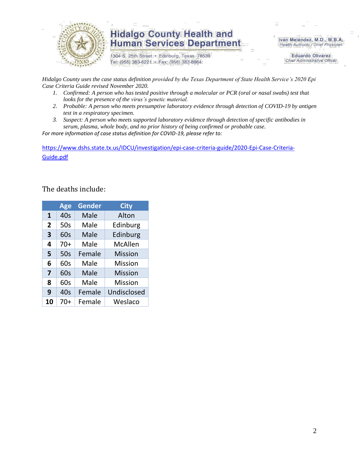

1304 S. 25th Street · Edinburg, Texas 78539 Tel: (956) 383-6221 · Fax: (956) 383-8864

Iván Meléndez, M.D., M.B.A. Health Authority / Chief Physician

> **Eduardo Olivarez Chief Administrative Officer**

*Hidalgo County uses the case status definition provided by the Texas Department of State Health Service's 2020 Epi Case Criteria Guide revised November 2020.*

- *1. Confirmed: A person who has tested positive through a molecular or PCR (oral or nasal swabs) test that looks for the presence of the virus's genetic material.*
- *2. Probable: A person who meets presumptive laboratory evidence through detection of COVID-19 by antigen test in a respiratory specimen.*
- *3. Suspect: A person who meets supported laboratory evidence through detection of specific antibodies in serum, plasma, whole body, and no prior history of being confirmed or probable case.*

*For more information of case status definition for COVID-19, please refer to:*

[https://www.dshs.state.tx.us/IDCU/investigation/epi-case-criteria-guide/2020-Epi-Case-Criteria-](https://www.dshs.state.tx.us/IDCU/investigation/epi-case-criteria-guide/2020-Epi-Case-Criteria-Guide.pdf)[Guide.pdf](https://www.dshs.state.tx.us/IDCU/investigation/epi-case-criteria-guide/2020-Epi-Case-Criteria-Guide.pdf)

#### The deaths include:

|                | <b>Age</b> | Gender | <b>City</b>    |
|----------------|------------|--------|----------------|
| 1              | 40s        | Male   | Alton          |
| $\overline{2}$ | 50s        | Male   | Edinburg       |
| 3              | 60s        | Male   | Edinburg       |
| 4              | $70+$      | Male   | McAllen        |
| 5              | 50s        | Female | <b>Mission</b> |
| 6              | 60s        | Male   | <b>Mission</b> |
| 7              | 60s        | Male   | <b>Mission</b> |
| 8              | 60s        | Male   | <b>Mission</b> |
| 9              | 40s        | Female | Undisclosed    |
| 10             | 70+        | Female | Weslaco        |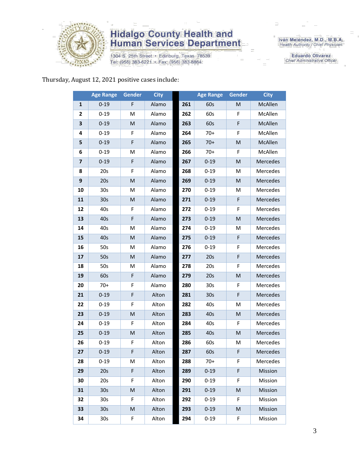

1304 S. 25th Street · Edinburg, Texas 78539 Tel: (956) 383-6221 · Fax: (956) 383-8864

Iván Meléndez, M.D., M.B.A.<br>Health Authority / Chief Physician

**Eduardo Olivarez** Chief Administrative Officer

#### Thursday, August 12, 2021 positive cases include:

|                         | <b>Age Range</b> | Gender      | <b>City</b> |     | <b>Age Range</b> | Gender                                                                                                     | <b>City</b>    |
|-------------------------|------------------|-------------|-------------|-----|------------------|------------------------------------------------------------------------------------------------------------|----------------|
| 1                       | $0 - 19$         | F           | Alamo       | 261 | 60s              | M                                                                                                          | McAllen        |
| 2                       | $0 - 19$         | M           | Alamo       | 262 | 60s              | F                                                                                                          | McAllen        |
| 3                       | $0 - 19$         | M           | Alamo       | 263 | 60s              | F                                                                                                          | McAllen        |
| 4                       | $0 - 19$         | F           | Alamo       | 264 | $70+$            | F                                                                                                          | McAllen        |
| 5                       | $0 - 19$         | F           | Alamo       | 265 | $70+$            | ${\sf M}$                                                                                                  | McAllen        |
| 6                       | $0 - 19$         | M           | Alamo       | 266 | $70+$            | F                                                                                                          | McAllen        |
| $\overline{\mathbf{z}}$ | $0 - 19$         | $\mathsf F$ | Alamo       | 267 | $0 - 19$         | ${\sf M}$                                                                                                  | Mercedes       |
| 8                       | 20s              | F           | Alamo       | 268 | $0 - 19$         | M                                                                                                          | Mercedes       |
| 9                       | 20s              | M           | Alamo       | 269 | $0 - 19$         | ${\sf M}$                                                                                                  | Mercedes       |
| 10                      | 30 <sub>s</sub>  | M           | Alamo       | 270 | $0 - 19$         | M                                                                                                          | Mercedes       |
| 11                      | 30 <sub>s</sub>  | ${\sf M}$   | Alamo       | 271 | $0 - 19$         | F                                                                                                          | Mercedes       |
| 12                      | 40s              | F           | Alamo       | 272 | $0 - 19$         | F                                                                                                          | Mercedes       |
| 13                      | 40s              | F           | Alamo       | 273 | $0 - 19$         | $\mathsf{M}% _{T}=\mathsf{M}_{T}\!\left( a,b\right) ,\ \mathsf{M}_{T}=\mathsf{M}_{T}\!\left( a,b\right) ,$ | Mercedes       |
| 14                      | 40s              | M           | Alamo       | 274 | $0 - 19$         | M                                                                                                          | Mercedes       |
| 15                      | 40s              | M           | Alamo       | 275 | $0 - 19$         | F                                                                                                          | Mercedes       |
| 16                      | 50s              | M           | Alamo       | 276 | $0 - 19$         | F                                                                                                          | Mercedes       |
| 17                      | 50s              | ${\sf M}$   | Alamo       | 277 | 20s              | F                                                                                                          | Mercedes       |
| 18                      | 50s              | M           | Alamo       | 278 | 20s              | F                                                                                                          | Mercedes       |
| 19                      | 60s              | F           | Alamo       | 279 | 20s              | ${\sf M}$                                                                                                  | Mercedes       |
| 20                      | $70+$            | F           | Alamo       | 280 | 30 <sub>s</sub>  | F                                                                                                          | Mercedes       |
| 21                      | $0 - 19$         | $\mathsf F$ | Alton       | 281 | 30s              | $\mathsf F$                                                                                                | Mercedes       |
| 22                      | $0 - 19$         | F           | Alton       | 282 | 40s              | M                                                                                                          | Mercedes       |
| 23                      | $0 - 19$         | M           | Alton       | 283 | 40s              | M                                                                                                          | Mercedes       |
| 24                      | $0 - 19$         | F           | Alton       | 284 | 40s              | F                                                                                                          | Mercedes       |
| 25                      | $0 - 19$         | ${\sf M}$   | Alton       | 285 | 40s              | M                                                                                                          | Mercedes       |
| 26                      | $0 - 19$         | F           | Alton       | 286 | 60s              | M                                                                                                          | Mercedes       |
| 27                      | $0 - 19$         | F.          | Alton       | 287 | 60s              | F.                                                                                                         | Mercedes       |
| 28                      | $0 - 19$         | M           | Alton       | 288 | 70+              | F                                                                                                          | Mercedes       |
| 29                      | 20s              | $\mathsf F$ | Alton       | 289 | $0 - 19$         | F                                                                                                          | Mission        |
| 30                      | 20s              | F           | Alton       | 290 | $0 - 19$         | F                                                                                                          | Mission        |
| 31                      | 30 <sub>s</sub>  | M           | Alton       | 291 | $0 - 19$         | ${\sf M}$                                                                                                  | <b>Mission</b> |
| 32                      | 30 <sub>s</sub>  | F           | Alton       | 292 | $0 - 19$         | F                                                                                                          | Mission        |
| 33                      | 30s              | M           | Alton       | 293 | $0 - 19$         | M                                                                                                          | Mission        |
| 34                      | 30 <sub>s</sub>  | F           | Alton       | 294 | $0 - 19$         | F                                                                                                          | Mission        |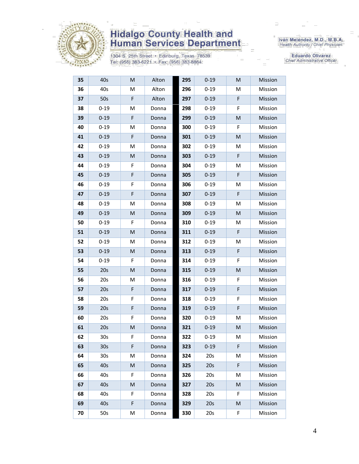

1304 S. 25th Street · Edinburg, Texas 78539 Tel: (956) 383-6221 · Fax: (956) 383-8864

Iván Meléndez, M.D., M.B.A.<br>Health Authority / Chief Physician

| 35 | 40s             | M           | Alton | 295 | $0 - 19$ | M           | Mission |
|----|-----------------|-------------|-------|-----|----------|-------------|---------|
| 36 | 40s             | M           | Alton | 296 | $0 - 19$ | M           | Mission |
| 37 | 50s             | F           | Alton | 297 | $0 - 19$ | $\mathsf F$ | Mission |
| 38 | $0 - 19$        | M           | Donna | 298 | $0 - 19$ | F           | Mission |
| 39 | $0 - 19$        | F           | Donna | 299 | $0 - 19$ | M           | Mission |
| 40 | $0 - 19$        | M           | Donna | 300 | $0 - 19$ | F           | Mission |
| 41 | $0 - 19$        | $\mathsf F$ | Donna | 301 | $0 - 19$ | M           | Mission |
| 42 | $0 - 19$        | M           | Donna | 302 | $0 - 19$ | M           | Mission |
| 43 | $0 - 19$        | M           | Donna | 303 | $0 - 19$ | F           | Mission |
| 44 | $0 - 19$        | F           | Donna | 304 | $0 - 19$ | M           | Mission |
| 45 | $0 - 19$        | F           | Donna | 305 | $0 - 19$ | F           | Mission |
| 46 | $0 - 19$        | F           | Donna | 306 | $0 - 19$ | M           | Mission |
| 47 | $0 - 19$        | F           | Donna | 307 | $0 - 19$ | F           | Mission |
| 48 | $0 - 19$        | M           | Donna | 308 | $0 - 19$ | M           | Mission |
| 49 | $0 - 19$        | M           | Donna | 309 | $0 - 19$ | M           | Mission |
| 50 | $0 - 19$        | F           | Donna | 310 | $0 - 19$ | M           | Mission |
| 51 | $0 - 19$        | M           | Donna | 311 | $0 - 19$ | F           | Mission |
| 52 | $0 - 19$        | M           | Donna | 312 | $0 - 19$ | M           | Mission |
| 53 | $0 - 19$        | M           | Donna | 313 | $0 - 19$ | F           | Mission |
| 54 | $0 - 19$        | F           | Donna | 314 | $0 - 19$ | F           | Mission |
| 55 | 20s             | M           | Donna | 315 | $0 - 19$ | M           | Mission |
| 56 | 20s             | M           | Donna | 316 | $0 - 19$ | F           | Mission |
| 57 | 20s             | F           | Donna | 317 | $0 - 19$ | F           | Mission |
| 58 | 20s             | F           | Donna | 318 | $0 - 19$ | F           | Mission |
| 59 | 20s             | F           | Donna | 319 | $0 - 19$ | F           | Mission |
| 60 | 20s             | F           | Donna | 320 | $0 - 19$ | M           | Mission |
| 61 | 20s             | M           | Donna | 321 | $0 - 19$ | M           | Mission |
| 62 | 30 <sub>s</sub> | F           | Donna | 322 | $0 - 19$ | M           | Mission |
| 63 | 30 <sub>s</sub> | F           | Donna | 323 | $0 - 19$ | F           | Mission |
| 64 | 30 <sub>s</sub> | M           | Donna | 324 | 20s      | M           | Mission |
| 65 | 40s             | M           | Donna | 325 | 20s      | F           | Mission |
| 66 | 40s             | F           | Donna | 326 | 20s      | M           | Mission |
| 67 | 40s             | M           | Donna | 327 | 20s      | M           | Mission |
| 68 | 40s             | F           | Donna | 328 | 20s      | F           | Mission |
| 69 | 40s             | $\mathsf F$ | Donna | 329 | 20s      | M           | Mission |
| 70 | 50s             | М           | Donna | 330 | 20s      | F           | Mission |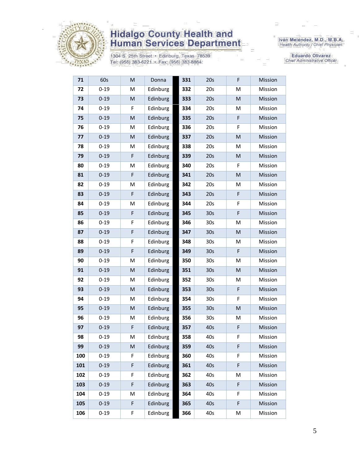

1304 S. 25th Street • Edinburg, Texas 78539<br>Tel: (956) 383-6221 • Fax: (956) 383-8864

Iván Meléndez, M.D., M.B.A.<br>Health Authority / Chief Physician

| 71  | 60s      | M | Donna    | 331 | 20s             | F | Mission |
|-----|----------|---|----------|-----|-----------------|---|---------|
| 72  | $0 - 19$ | M | Edinburg | 332 | 20s             | M | Mission |
| 73  | $0 - 19$ | M | Edinburg | 333 | 20s             | M | Mission |
| 74  | $0 - 19$ | F | Edinburg | 334 | 20s             | M | Mission |
| 75  | $0 - 19$ | M | Edinburg | 335 | 20s             | F | Mission |
| 76  | $0 - 19$ | M | Edinburg | 336 | 20s             | F | Mission |
| 77  | $0 - 19$ | M | Edinburg | 337 | 20s             | M | Mission |
| 78  | $0 - 19$ | М | Edinburg | 338 | 20s             | Μ | Mission |
| 79  | $0 - 19$ | F | Edinburg | 339 | 20s             | M | Mission |
| 80  | $0 - 19$ | M | Edinburg | 340 | 20s             | F | Mission |
| 81  | $0 - 19$ | F | Edinburg | 341 | 20s             | M | Mission |
| 82  | $0 - 19$ | M | Edinburg | 342 | 20s             | Μ | Mission |
| 83  | $0 - 19$ | F | Edinburg | 343 | 20s             | F | Mission |
| 84  | $0 - 19$ | M | Edinburg | 344 | 20s             | F | Mission |
| 85  | $0 - 19$ | F | Edinburg | 345 | 30 <sub>s</sub> | F | Mission |
| 86  | $0 - 19$ | F | Edinburg | 346 | 30 <sub>s</sub> | M | Mission |
| 87  | $0 - 19$ | F | Edinburg | 347 | 30s             | M | Mission |
| 88  | $0 - 19$ | F | Edinburg | 348 | 30s             | M | Mission |
| 89  | $0 - 19$ | F | Edinburg | 349 | 30s             | F | Mission |
| 90  | $0 - 19$ | M | Edinburg | 350 | 30 <sub>s</sub> | Μ | Mission |
| 91  | $0 - 19$ | M | Edinburg | 351 | 30 <sub>s</sub> | M | Mission |
| 92  | $0 - 19$ | М | Edinburg | 352 | 30 <sub>s</sub> | Μ | Mission |
| 93  | $0 - 19$ | M | Edinburg | 353 | 30 <sub>s</sub> | F | Mission |
| 94  | $0 - 19$ | M | Edinburg | 354 | 30s             | F | Mission |
| 95  | $0 - 19$ | M | Edinburg | 355 | 30 <sub>s</sub> | M | Mission |
| 96  | $0 - 19$ | М | Edinburg | 356 | 30 <sub>s</sub> | Μ | Mission |
| 97  | $0 - 19$ | F | Edinburg | 357 | 40s             | F | Mission |
| 98  | $0 - 19$ | M | Edinburg | 358 | 40s             | F | Mission |
| 99  | $0 - 19$ | M | Edinburg | 359 | 40s             | F | Mission |
| 100 | $0 - 19$ | F | Edinburg | 360 | 40s             | F | Mission |
| 101 | $0 - 19$ | F | Edinburg | 361 | 40s             | F | Mission |
| 102 | $0 - 19$ | F | Edinburg | 362 | 40s             | M | Mission |
| 103 | $0 - 19$ | F | Edinburg | 363 | 40s             | F | Mission |
| 104 | $0 - 19$ | M | Edinburg | 364 | 40s             | F | Mission |
| 105 | $0 - 19$ | F | Edinburg | 365 | 40s             | F | Mission |
| 106 | $0 - 19$ | F | Edinburg | 366 | 40s             | М | Mission |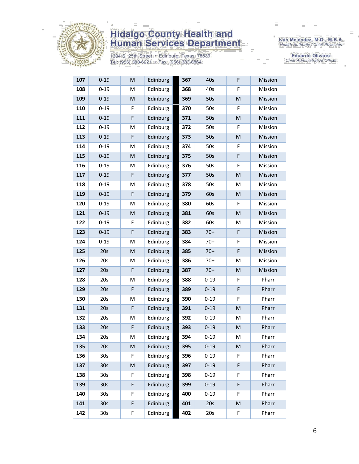

1304 S. 25th Street · Edinburg, Texas 78539 Tel: (956) 383-6221 · Fax: (956) 383-8864

Iván Meléndez, M.D., M.B.A.<br>Health Authority / Chief Physician

| 107 | $0 - 19$        | M           | Edinburg | 367 | 40s      | F | Mission |
|-----|-----------------|-------------|----------|-----|----------|---|---------|
| 108 | $0 - 19$        | M           | Edinburg | 368 | 40s      | F | Mission |
| 109 | $0 - 19$        | M           | Edinburg | 369 | 50s      | M | Mission |
| 110 | $0 - 19$        | F           | Edinburg | 370 | 50s      | F | Mission |
| 111 | $0 - 19$        | F           | Edinburg | 371 | 50s      | M | Mission |
| 112 | $0 - 19$        | M           | Edinburg | 372 | 50s      | F | Mission |
| 113 | $0 - 19$        | F           | Edinburg | 373 | 50s      | M | Mission |
| 114 | $0 - 19$        | M           | Edinburg | 374 | 50s      | F | Mission |
| 115 | $0 - 19$        | M           | Edinburg | 375 | 50s      | F | Mission |
| 116 | $0 - 19$        | M           | Edinburg | 376 | 50s      | F | Mission |
| 117 | $0 - 19$        | F           | Edinburg | 377 | 50s      | M | Mission |
| 118 | $0 - 19$        | M           | Edinburg | 378 | 50s      | M | Mission |
| 119 | $0 - 19$        | F           | Edinburg | 379 | 60s      | M | Mission |
| 120 | $0 - 19$        | M           | Edinburg | 380 | 60s      | F | Mission |
| 121 | $0 - 19$        | M           | Edinburg | 381 | 60s      | M | Mission |
| 122 | $0 - 19$        | F           | Edinburg | 382 | 60s      | Μ | Mission |
| 123 | $0 - 19$        | F           | Edinburg | 383 | $70+$    | F | Mission |
| 124 | $0 - 19$        | M           | Edinburg | 384 | $70+$    | F | Mission |
| 125 | 20s             | M           | Edinburg | 385 | $70+$    | F | Mission |
| 126 | 20s             | M           | Edinburg | 386 | $70+$    | M | Mission |
| 127 | 20s             | $\mathsf F$ | Edinburg | 387 | $70+$    | M | Mission |
| 128 | 20s             | M           | Edinburg | 388 | $0 - 19$ | F | Pharr   |
| 129 | 20s             | $\mathsf F$ | Edinburg | 389 | $0 - 19$ | F | Pharr   |
| 130 | 20s             | M           | Edinburg | 390 | $0 - 19$ | F | Pharr   |
| 131 | 20s             | $\mathsf F$ | Edinburg | 391 | $0 - 19$ | M | Pharr   |
| 132 | 20s             | M           | Edinburg | 392 | $0 - 19$ | M | Pharr   |
| 133 | 20s             | $\mathsf F$ | Edinburg | 393 | $0 - 19$ | M | Pharr   |
| 134 | 20s             | M           | Edinburg | 394 | $0 - 19$ | Μ | Pharr   |
| 135 | 20s             | M           | Edinburg | 395 | $0 - 19$ | M | Pharr   |
| 136 | 30 <sub>s</sub> | F           | Edinburg | 396 | $0 - 19$ | F | Pharr   |
| 137 | 30 <sub>s</sub> | ${\sf M}$   | Edinburg | 397 | $0 - 19$ | F | Pharr   |
| 138 | 30s             | F           | Edinburg | 398 | $0 - 19$ | F | Pharr   |
| 139 | 30 <sub>s</sub> | F           | Edinburg | 399 | $0 - 19$ | F | Pharr   |
| 140 | 30 <sub>s</sub> | F           | Edinburg | 400 | $0 - 19$ | F | Pharr   |
| 141 | 30 <sub>s</sub> | F           | Edinburg | 401 | 20s      | M | Pharr   |
| 142 | 30 <sub>s</sub> | F           | Edinburg | 402 | 20s      | F | Pharr   |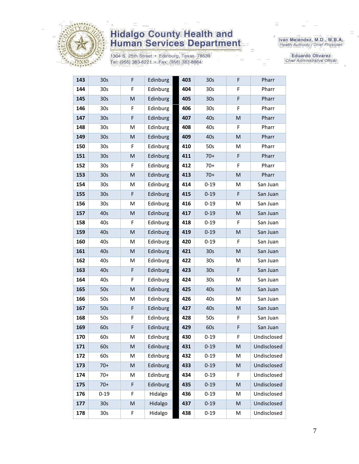

1304 S. 25th Street · Edinburg, Texas 78539 Tel: (956) 383-6221 · Fax: (956) 383-8864

Iván Meléndez, M.D., M.B.A.<br>Health Authority / Chief Physician

| 143 | 30s             | F  | Edinburg | 403 | 30 <sub>s</sub> | F  | Pharr       |
|-----|-----------------|----|----------|-----|-----------------|----|-------------|
| 144 | 30 <sub>s</sub> | F  | Edinburg | 404 | 30 <sub>s</sub> | F  | Pharr       |
| 145 | 30 <sub>s</sub> | M  | Edinburg | 405 | 30 <sub>s</sub> | F  | Pharr       |
| 146 | 30 <sub>s</sub> | F  | Edinburg | 406 | 30 <sub>s</sub> | F  | Pharr       |
| 147 | 30 <sub>s</sub> | F  | Edinburg | 407 | 40s             | M  | Pharr       |
| 148 | 30s             | M  | Edinburg | 408 | 40s             | F  | Pharr       |
| 149 | 30 <sub>s</sub> | M  | Edinburg | 409 | 40s             | M  | Pharr       |
| 150 | 30 <sub>s</sub> | F  | Edinburg | 410 | 50s             | M  | Pharr       |
| 151 | 30 <sub>s</sub> | M  | Edinburg | 411 | $70+$           | F  | Pharr       |
| 152 | 30 <sub>s</sub> | F  | Edinburg | 412 | $70+$           | F  | Pharr       |
| 153 | 30 <sub>s</sub> | M  | Edinburg | 413 | $70+$           | M  | Pharr       |
| 154 | 30 <sub>s</sub> | М  | Edinburg | 414 | $0 - 19$        | Μ  | San Juan    |
| 155 | 30 <sub>s</sub> | F  | Edinburg | 415 | $0 - 19$        | F  | San Juan    |
| 156 | 30s             | M  | Edinburg | 416 | $0 - 19$        | Μ  | San Juan    |
| 157 | 40s             | M  | Edinburg | 417 | $0 - 19$        | M  | San Juan    |
| 158 | 40s             | F. | Edinburg | 418 | $0 - 19$        | F. | San Juan    |
| 159 | 40s             | M  | Edinburg | 419 | $0 - 19$        | M  | San Juan    |
| 160 | 40s             | M  | Edinburg | 420 | $0 - 19$        | F  | San Juan    |
| 161 | 40s             | M  | Edinburg | 421 | 30 <sub>s</sub> | M  | San Juan    |
| 162 | 40s             | Μ  | Edinburg | 422 | 30 <sub>s</sub> | Μ  | San Juan    |
| 163 | 40s             | F  | Edinburg | 423 | 30 <sub>s</sub> | F  | San Juan    |
| 164 | 40s             | F  | Edinburg | 424 | 30 <sub>s</sub> | Μ  | San Juan    |
| 165 | 50s             | M  | Edinburg | 425 | 40s             | M  | San Juan    |
| 166 | 50s             | M  | Edinburg | 426 | 40s             | Μ  | San Juan    |
| 167 | 50s             | F  | Edinburg | 427 | 40s             | M  | San Juan    |
| 168 | 50s             | F  | Edinburg | 428 | 50s             | F  | San Juan    |
| 169 | 60s             | F  | Edinburg | 429 | 60s             | F  | San Juan    |
| 170 | 60s             | M  | Edinburg | 430 | $0 - 19$        | F  | Undisclosed |
| 171 | 60s             | M  | Edinburg | 431 | $0 - 19$        | M  | Undisclosed |
| 172 | 60s             | M  | Edinburg | 432 | $0 - 19$        | M  | Undisclosed |
| 173 | $70+$           | M  | Edinburg | 433 | $0 - 19$        | M  | Undisclosed |
| 174 | $70+$           | М  | Edinburg | 434 | $0 - 19$        | F  | Undisclosed |
| 175 | $70+$           | F  | Edinburg | 435 | $0 - 19$        | M  | Undisclosed |
| 176 | $0 - 19$        | F  | Hidalgo  | 436 | $0 - 19$        | Μ  | Undisclosed |
| 177 | 30 <sub>s</sub> | M  | Hidalgo  | 437 | $0 - 19$        | M  | Undisclosed |
| 178 | 30 <sub>s</sub> | F  | Hidalgo  | 438 | $0 - 19$        | М  | Undisclosed |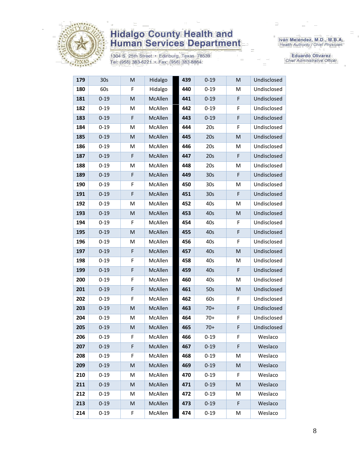

1304 S. 25th Street • Edinburg, Texas 78539<br>Tel: (956) 383-6221 • Fax: (956) 383-8864

Iván Meléndez, M.D., M.B.A.<br>Health Authority / Chief Physician

| 179 | 30 <sub>s</sub> | M           | Hidalgo | 439 | $0 - 19$        | M | Undisclosed |
|-----|-----------------|-------------|---------|-----|-----------------|---|-------------|
| 180 | 60s             | F           | Hidalgo | 440 | $0 - 19$        | M | Undisclosed |
| 181 | $0 - 19$        | M           | McAllen | 441 | $0 - 19$        | F | Undisclosed |
| 182 | $0 - 19$        | M           | McAllen | 442 | $0 - 19$        | F | Undisclosed |
| 183 | $0 - 19$        | $\mathsf F$ | McAllen | 443 | $0 - 19$        | F | Undisclosed |
| 184 | $0 - 19$        | M           | McAllen | 444 | 20s             | F | Undisclosed |
| 185 | $0 - 19$        | M           | McAllen | 445 | 20s             | M | Undisclosed |
| 186 | $0 - 19$        | M           | McAllen | 446 | 20s             | M | Undisclosed |
| 187 | $0 - 19$        | F           | McAllen | 447 | 20s             | F | Undisclosed |
| 188 | $0 - 19$        | M           | McAllen | 448 | 20s             | M | Undisclosed |
| 189 | $0 - 19$        | F           | McAllen | 449 | 30 <sub>s</sub> | F | Undisclosed |
| 190 | $0 - 19$        | F           | McAllen | 450 | 30 <sub>s</sub> | M | Undisclosed |
| 191 | $0 - 19$        | $\mathsf F$ | McAllen | 451 | 30 <sub>s</sub> | F | Undisclosed |
| 192 | $0 - 19$        | M           | McAllen | 452 | 40s             | M | Undisclosed |
| 193 | $0 - 19$        | M           | McAllen | 453 | 40s             | M | Undisclosed |
| 194 | $0 - 19$        | F           | McAllen | 454 | 40s             | F | Undisclosed |
| 195 | $0 - 19$        | M           | McAllen | 455 | 40s             | F | Undisclosed |
| 196 | $0 - 19$        | M           | McAllen | 456 | 40s             | F | Undisclosed |
| 197 | $0 - 19$        | F           | McAllen | 457 | 40s             | M | Undisclosed |
| 198 | $0 - 19$        | F           | McAllen | 458 | 40s             | M | Undisclosed |
| 199 | $0 - 19$        | F           | McAllen | 459 | 40s             | F | Undisclosed |
| 200 | $0 - 19$        | F           | McAllen | 460 | 40s             | M | Undisclosed |
| 201 | $0 - 19$        | $\mathsf F$ | McAllen | 461 | 50s             | M | Undisclosed |
| 202 | $0 - 19$        | F           | McAllen | 462 | 60s             | F | Undisclosed |
| 203 | $0 - 19$        | M           | McAllen | 463 | $70+$           | F | Undisclosed |
| 204 | $0 - 19$        | М           | McAllen | 464 | $70+$           | F | Undisclosed |
| 205 | $0 - 19$        | M           | McAllen | 465 | $70+$           | F | Undisclosed |
| 206 | $0 - 19$        | F           | McAllen | 466 | $0 - 19$        | F | Weslaco     |
| 207 | $0 - 19$        | F           | McAllen | 467 | $0 - 19$        | F | Weslaco     |
| 208 | $0 - 19$        | F           | McAllen | 468 | $0 - 19$        | M | Weslaco     |
| 209 | $0 - 19$        | M           | McAllen | 469 | $0 - 19$        | M | Weslaco     |
| 210 | $0 - 19$        | M           | McAllen | 470 | $0 - 19$        | F | Weslaco     |
| 211 | $0 - 19$        | M           | McAllen | 471 | $0 - 19$        | M | Weslaco     |
| 212 | $0 - 19$        | M           | McAllen | 472 | $0 - 19$        | M | Weslaco     |
| 213 | $0 - 19$        | M           | McAllen | 473 | $0 - 19$        | F | Weslaco     |
| 214 | $0 - 19$        | F           | McAllen | 474 | $0 - 19$        | М | Weslaco     |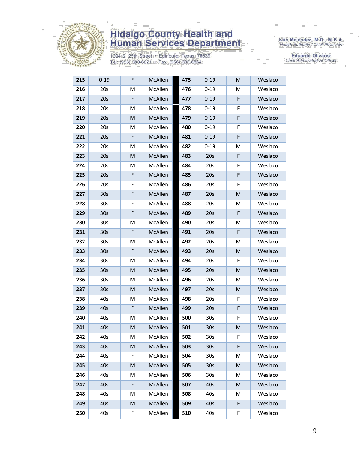

1304 S. 25th Street · Edinburg, Texas 78539 Tel: (956) 383-6221 · Fax: (956) 383-8864

Iván Meléndez, M.D., M.B.A.<br>Health Authority / Chief Physician

| 215 | $0 - 19$        | F           | McAllen | 475 | $0 - 19$        | M | Weslaco |
|-----|-----------------|-------------|---------|-----|-----------------|---|---------|
| 216 | 20s             | м           | McAllen | 476 | $0 - 19$        | M | Weslaco |
| 217 | 20s             | $\mathsf F$ | McAllen | 477 | $0 - 19$        | F | Weslaco |
| 218 | 20s             | M           | McAllen | 478 | $0 - 19$        | F | Weslaco |
| 219 | 20s             | M           | McAllen | 479 | $0 - 19$        | F | Weslaco |
| 220 | 20s             | M           | McAllen | 480 | $0 - 19$        | F | Weslaco |
| 221 | 20s             | F           | McAllen | 481 | $0 - 19$        | F | Weslaco |
| 222 | 20s             | M           | McAllen | 482 | $0 - 19$        | M | Weslaco |
| 223 | 20s             | M           | McAllen | 483 | 20s             | F | Weslaco |
| 224 | 20s             | M           | McAllen | 484 | 20s             | F | Weslaco |
| 225 | 20s             | F           | McAllen | 485 | 20s             | F | Weslaco |
| 226 | 20s             | F           | McAllen | 486 | 20s             | F | Weslaco |
| 227 | 30 <sub>s</sub> | F           | McAllen | 487 | 20s             | M | Weslaco |
| 228 | 30s             | F           | McAllen | 488 | 20s             | Μ | Weslaco |
| 229 | 30 <sub>s</sub> | F           | McAllen | 489 | 20s             | F | Weslaco |
| 230 | 30 <sub>s</sub> | M           | McAllen | 490 | 20s             | M | Weslaco |
| 231 | 30 <sub>s</sub> | F           | McAllen | 491 | 20s             | F | Weslaco |
| 232 | 30 <sub>s</sub> | M           | McAllen | 492 | 20s             | M | Weslaco |
| 233 | 30 <sub>s</sub> | F           | McAllen | 493 | 20s             | M | Weslaco |
| 234 | 30s             | M           | McAllen | 494 | 20s             | F | Weslaco |
| 235 | 30 <sub>s</sub> | M           | McAllen | 495 | 20s             | M | Weslaco |
| 236 | 30 <sub>s</sub> | M           | McAllen | 496 | 20s             | Μ | Weslaco |
| 237 | 30 <sub>s</sub> | M           | McAllen | 497 | 20s             | M | Weslaco |
| 238 | 40s             | М           | McAllen | 498 | 20s             | F | Weslaco |
| 239 | 40s             | F           | McAllen | 499 | 20s             | F | Weslaco |
| 240 | 40s             | M           | McAllen | 500 | 30s             | F | Weslaco |
| 241 | 40s             | M           | McAllen | 501 | 30 <sub>s</sub> | M | Weslaco |
| 242 | 40s             | M           | McAllen | 502 | 30 <sub>s</sub> | F | Weslaco |
| 243 | 40s             | M           | McAllen | 503 | 30 <sub>s</sub> | F | Weslaco |
| 244 | 40s             | F           | McAllen | 504 | 30s             | М | Weslaco |
| 245 | 40s             | M           | McAllen | 505 | 30 <sub>s</sub> | M | Weslaco |
| 246 | 40s             | M           | McAllen | 506 | 30s             | М | Weslaco |
| 247 | 40s             | F           | McAllen | 507 | 40s             | M | Weslaco |
| 248 | 40s             | M           | McAllen | 508 | 40s             | M | Weslaco |
| 249 | 40s             | M           | McAllen | 509 | 40s             | F | Weslaco |
| 250 | 40s             | F           | McAllen | 510 | 40s             | F | Weslaco |